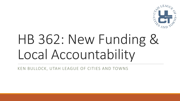

## HB 362: New Funding & Local Accountability

KEN BULLOCK, UTAH LEAGUE OF CITIES AND TOWNS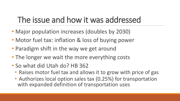## The issue and how it was addressed

- Major population increases (doubles by 2030)
- Motor fuel tax: inflation & loss of buying power
- Paradigm shift in the way we get around
- The longer we wait the more everything costs
- So what did Utah do? HB 362
	- Raises motor fuel tax and allows it to grow with price of gas
	- Authorizes local option sales tax (0.25%) for transportation with expanded definition of transportation uses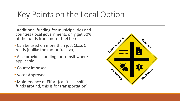#### Key Points on the Local Option

- Additional funding for municipalities and counties (local governments only get 30% of the funds from motor fuel tax)
- Can be used on more than just Class C roads (unlike the motor fuel tax)
- Also provides funding for transit where applicable
- County Imposed
- Voter Approved
- Maintenance of Effort (can't just shift funds around, this is for transportation)

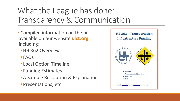## What the League has done: Transparency & Communication

- Compiled information on the bill available on our website **ulct.org**  including:
	- HB 362 Overview
	- FAQs
	- Local Option Timeline
	- Funding Estimates
	- A Sample Resolution & Explanation
	- Presentations, etc.

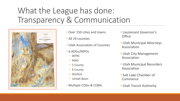#### What the League has done: Transparency & Communication



- Over 150 cities and towns
- All 29 counties
- Utah Association of Counties
- 6 AOGs/MPOs
	- WFRC
	- MAG
	- 5 County
	- 6 County
	- SEUALG
	- Uintah Basin
- Multiple COGs & COMs
- Lieutenant Governor's **Office**
- Utah Municipal Attorneys Association
- Utah City Management Association
- Utah Municipal Recorders Association
- Salt Lake Chamber of Commerce
- Utah Transit Authority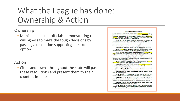#### What the League has done: Ownership & Action

#### Ownership

• Municipal elected officials demonstrating their willingness to make the tough decisions by passing a resolution supporting the local option

#### Action

• Cities and towns throughout the state will pass these resolutions and present them to their counties in June